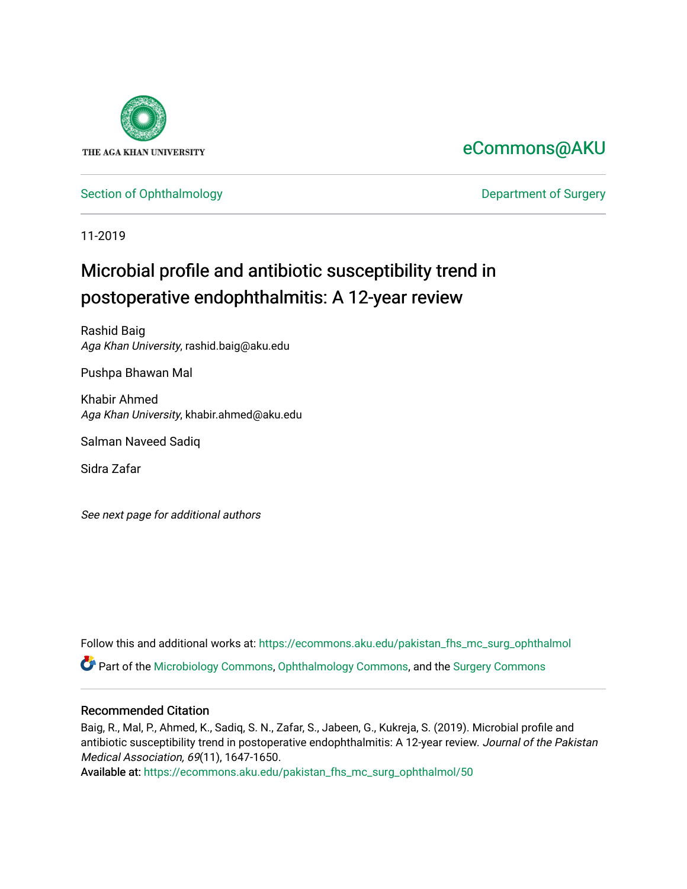

# [eCommons@AKU](https://ecommons.aku.edu/)

## [Section of Ophthalmology](https://ecommons.aku.edu/pakistan_fhs_mc_surg_ophthalmol) **Department of Surgery**

11-2019

# Microbial profile and antibiotic susceptibility trend in postoperative endophthalmitis: A 12-year review

Rashid Baig Aga Khan University, rashid.baig@aku.edu

Pushpa Bhawan Mal

Khabir Ahmed Aga Khan University, khabir.ahmed@aku.edu

Salman Naveed Sadiq

Sidra Zafar

See next page for additional authors

Follow this and additional works at: [https://ecommons.aku.edu/pakistan\\_fhs\\_mc\\_surg\\_ophthalmol](https://ecommons.aku.edu/pakistan_fhs_mc_surg_ophthalmol?utm_source=ecommons.aku.edu%2Fpakistan_fhs_mc_surg_ophthalmol%2F50&utm_medium=PDF&utm_campaign=PDFCoverPages)

Part of the [Microbiology Commons](http://network.bepress.com/hgg/discipline/48?utm_source=ecommons.aku.edu%2Fpakistan_fhs_mc_surg_ophthalmol%2F50&utm_medium=PDF&utm_campaign=PDFCoverPages), [Ophthalmology Commons](http://network.bepress.com/hgg/discipline/695?utm_source=ecommons.aku.edu%2Fpakistan_fhs_mc_surg_ophthalmol%2F50&utm_medium=PDF&utm_campaign=PDFCoverPages), and the [Surgery Commons](http://network.bepress.com/hgg/discipline/706?utm_source=ecommons.aku.edu%2Fpakistan_fhs_mc_surg_ophthalmol%2F50&utm_medium=PDF&utm_campaign=PDFCoverPages) 

## Recommended Citation

Baig, R., Mal, P., Ahmed, K., Sadiq, S. N., Zafar, S., Jabeen, G., Kukreja, S. (2019). Microbial profile and antibiotic susceptibility trend in postoperative endophthalmitis: A 12-year review. Journal of the Pakistan Medical Association, 69(11), 1647-1650.

Available at: [https://ecommons.aku.edu/pakistan\\_fhs\\_mc\\_surg\\_ophthalmol/50](https://ecommons.aku.edu/pakistan_fhs_mc_surg_ophthalmol/50)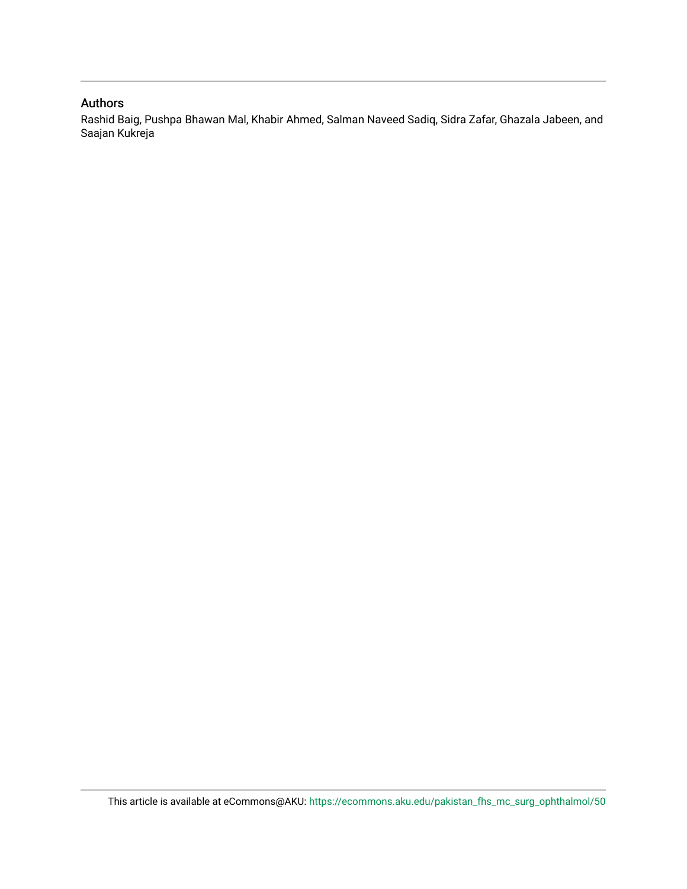### Authors

Rashid Baig, Pushpa Bhawan Mal, Khabir Ahmed, Salman Naveed Sadiq, Sidra Zafar, Ghazala Jabeen, and Saajan Kukreja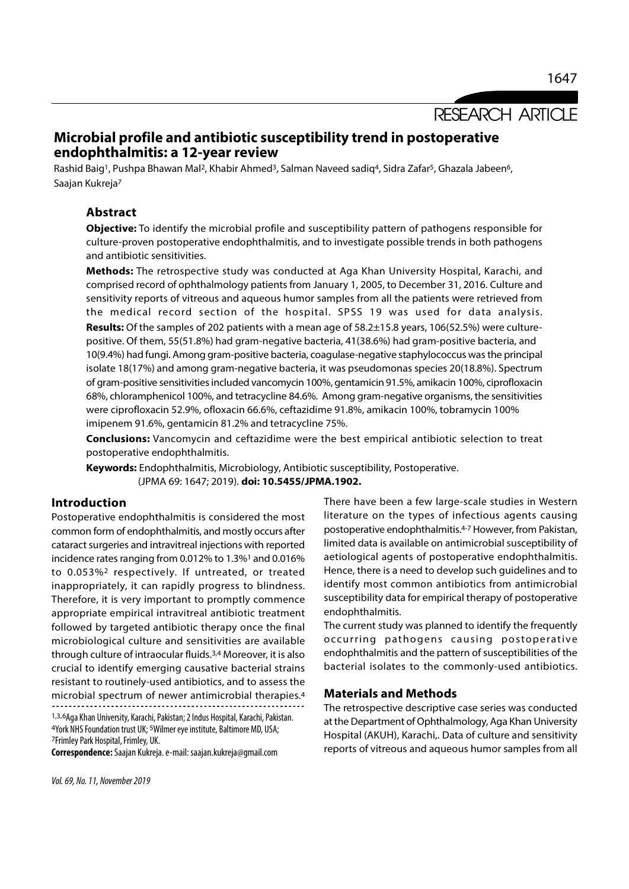1647

# Microbial profile and antibiotic susceptibility trend in postoperative endophthalmitis: a 12-year review

Rashid Baig<sup>1</sup>, Pushpa Bhawan Mal<sup>2</sup>, Khabir Ahmed<sup>3</sup>, Salman Naveed sadiq<sup>4</sup>, Sidra Zafar<sup>5</sup>, Ghazala Jabeen<sup>6</sup>, Saajan Kukreja<sup>7</sup>

### Abstract

Objective: To identify the microbial profile and susceptibility pattern of pathogens responsible for culture-proven postoperative endophthalmitis, and to investigate possible trends in both pathogens and antibiotic sensitivities.

Methods: The retrospective study was conducted at Aga Khan University Hospital, Karachi, and comprised record of ophthalmology patients from January 1, 2005, to December 31, 2016. Culture and sensitivity reports of vitreous and aqueous humor samples from all the patients were retrieved from the medical record section of the hospital. SPSS 19 was used for data analysis. Results: Of the samples of 202 patients with a mean age of 58.2±15.8 years, 106(52.5%) were culturepositive. Of them, 55(51.8%) had gram-negative bacteria, 41(38.6%) had gram-positive bacteria, and 10(9.4%) had fungi. Among gram-positive bacteria, coagulase-negative staphylococcus was the principal isolate 18(17%) and among gram-negative bacteria, it was pseudomonas species 20(18.8%). Spectrum of gram-positive sensitivities included vancomycin 100%, gentamicin 91.5%, amikacin 100%, ciprofloxacin 68%, chloramphenicol 100%, and tetracycline 84.6%. Among gram-negative organisms, the sensitivities were ciprofloxacin 52.9%, ofloxacin 66.6%, ceftazidime 91.8%, amikacin 100%, tobramycin 100% imipenem 91.6%, gentamicin 81.2% and tetracycline 75%.

Conclusions: Vancomycin and ceftazidime were the best empirical antibiotic selection to treat postoperative endophthalmitis.

Keywords: Endophthalmitis, Microbiology, Antibiotic susceptibility, Postoperative. (JPMA 69: 1647; 2019). doi: 10.5455/JPMA.1902.

### Introduction

Postoperative endophthalmitis is considered the most common form of endophthalmitis, and mostly occurs after cataract surgeries and intravitreal injections with reported incidence rates ranging from 0.012% to 1.3%1 and 0.016% to 0.053%2 respectively. If untreated, or treated inappropriately, it can rapidly progress to blindness. Therefore, it is very important to promptly commence appropriate empirical intravitreal antibiotic treatment followed by targeted antibiotic therapy once the final microbiological culture and sensitivities are available through culture of intraocular fluids.3,4 Moreover, it is also crucial to identify emerging causative bacterial strains resistant to routinely-used antibiotics, and to assess the microbial spectrum of newer antimicrobial therapies.4

1,3,6Aga Khan University, Karachi, Pakistan; 2 Indus Hospital, Karachi, Pakistan. 4York NHS Foundation trust UK; 5Wilmer eye institute, Baltimore MD, USA; 7Frimley Park Hospital, Frimley, UK.

Correspondence: Saajan Kukreja. e-mail: saajan.kukreja@gmail.com

There have been a few large-scale studies in Western literature on the types of infectious agents causing postoperative endophthalmitis.4-7 However, from Pakistan, limited data is available on antimicrobial susceptibility of aetiological agents of postoperative endophthalmitis. Hence, there is a need to develop such guidelines and to identify most common antibiotics from antimicrobial susceptibility data for empirical therapy of postoperative endophthalmitis. Interature off the types of infectious agents causing<br>postoperative endophthalmitis.<sup>4-7</sup> However, from Pakistan,<br>limited data is available on antimicrobial susceptibility of<br>aetiological agents of postoperative endophthal

The current study was planned to identify the frequently endophthalmitis and the pattern of susceptibilities of the bacterial isolates to the commonly-used antibiotics.

#### Materials and Methods

The retrospective descriptive case series was conducted at the Department of Ophthalmology, Aga Khan University Hospital (AKUH), Karachi,. Data of culture and sensitivity reports of vitreous and aqueous humor samples from all

Vol. 69, No. 11, November 2019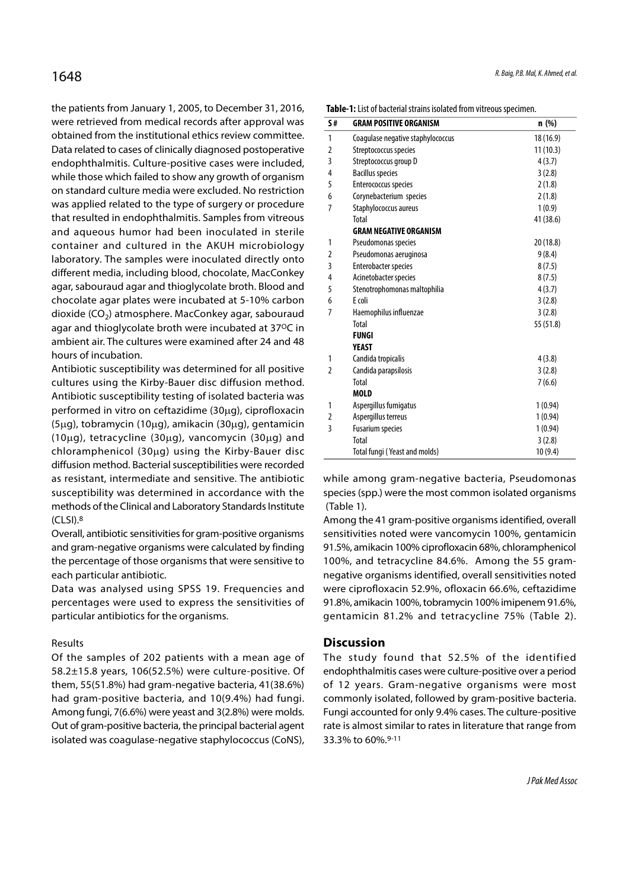the patients from January 1, 2005, to December 31, 2016, were retrieved from medical records after approval was obtained from the institutional ethics review committee. Data related to cases of clinically diagnosed postoperative endophthalmitis. Culture-positive cases were included, while those which failed to show any growth of organism on standard culture media were excluded. No restriction was applied related to the type of surgery or procedure that resulted in endophthalmitis. Samples from vitreous and aqueous humor had been inoculated in sterile container and cultured in the AKUH microbiology laboratory. The samples were inoculated directly onto different media, including blood, chocolate, MacConkey agar, sabouraud agar and thioglycolate broth. Blood and chocolate agar plates were incubated at 5-10% carbon dioxide (CO<sub>2</sub>) atmosphere. MacConkey agar, sabouraud  $\frac{7}{100}$  Haemophilus agar and thioglycolate broth were incubated at 37ºC in ambient air. The cultures were examined after 24 and 48 hours of incubation.

Antibiotic susceptibility was determined for all positive cultures using the Kirby-Bauer disc diffusion method. Antibiotic susceptibility testing of isolated bacteria was performed in vitro on ceftazidime  $(30\mu q)$ , ciprofloxacin  $(5\mu q)$ , tobramycin (10 $\mu q$ ), amikacin (30 $\mu q$ ), gentamicin  $(10\mu q)$ , tetracycline  $(30\mu q)$ , vancomycin  $(30\mu q)$  and chloramphenicol (30 $\mu$ g) using the Kirby-Bauer disc diffusion method. Bacterial susceptibilities were recorded as resistant, intermediate and sensitive. The antibiotic susceptibility was determined in accordance with the methods of the Clinical and Laboratory Standards Institute (CLSI).8

Overall, antibiotic sensitivities for gram-positive organisms and gram-negative organisms were calculated by finding the percentage of those organisms that were sensitive to each particular antibiotic.

Data was analysed using SPSS 19. Frequencies and percentages were used to express the sensitivities of particular antibiotics for the organisms.

#### Results

Of the samples of 202 patients with a mean age of 58.2±15.8 years, 106(52.5%) were culture-positive. Of them, 55(51.8%) had gram-negative bacteria, 41(38.6%) had gram-positive bacteria, and 10(9.4%) had fungi. Among fungi, 7(6.6%) were yeast and 3(2.8%) were molds. Out of gram-positive bacteria, the principal bacterial agent isolated was coagulase-negative staphylococcus (CoNS),

| 5#             | <b>GRAM POSITIVE ORGANISM</b>     | n (%)     |  |  |  |  |
|----------------|-----------------------------------|-----------|--|--|--|--|
| 1              | Coagulase negative staphylococcus | 18 (16.9) |  |  |  |  |
| 2              | Streptococcus species             | 11(10.3)  |  |  |  |  |
| 3              | Streptococcus group D             | 4(3.7)    |  |  |  |  |
| 4              | <b>Bacillus species</b>           | 3(2.8)    |  |  |  |  |
| 5              | Enterococcus species              | 2(1.8)    |  |  |  |  |
| 6              | Corynebacterium species           | 2(1.8)    |  |  |  |  |
| 7              | Staphylococcus aureus             | 1(0.9)    |  |  |  |  |
|                | Total                             | 41 (38.6) |  |  |  |  |
|                | <b>GRAM NEGATIVE ORGANISM</b>     |           |  |  |  |  |
| 1              | Pseudomonas species               | 20 (18.8) |  |  |  |  |
| 2              | Pseudomonas aeruginosa            | 9(8.4)    |  |  |  |  |
| 3              | Enterobacter species              | 8(7.5)    |  |  |  |  |
| 4              | Acinetobacter species             | 8(7.5)    |  |  |  |  |
| 5              | Stenotrophomonas maltophilia      | 4(3.7)    |  |  |  |  |
| 6              | E coli                            | 3(2.8)    |  |  |  |  |
| 7              | Haemophilus influenzae            | 3(2.8)    |  |  |  |  |
|                | Total                             | 55 (51.8) |  |  |  |  |
|                | <b>FUNGI</b>                      |           |  |  |  |  |
|                | YEAST                             |           |  |  |  |  |
| 1              | Candida tropicalis                | 4(3.8)    |  |  |  |  |
| $\overline{2}$ | Candida parapsilosis              | 3(2.8)    |  |  |  |  |
|                | Total                             | 7(6.6)    |  |  |  |  |
|                | <b>MOLD</b>                       |           |  |  |  |  |
| 1              | Aspergillus fumigatus             | 1(0.94)   |  |  |  |  |
| 2              | Aspergillus terreus               | 1(0.94)   |  |  |  |  |
| 3              | <b>Fusarium species</b>           | 1(0.94)   |  |  |  |  |
|                | Total                             | 3(2.8)    |  |  |  |  |
|                | Total fungi (Yeast and molds)     | 10(9.4)   |  |  |  |  |

while among gram-negative bacteria, Pseudomonas species (spp.) were the most common isolated organisms (Table 1).

Among the 41 gram-positive organisms identified, overall sensitivities noted were vancomycin 100%, gentamicin 91.5%, amikacin 100% ciprofloxacin 68%, chloramphenicol 100%, and tetracycline 84.6%. Among the 55 gramnegative organisms identified, overall sensitivities noted were ciprofloxacin 52.9%, ofloxacin 66.6%, ceftazidime 91.8%, amikacin 100%, tobramycin 100% imipenem 91.6%, gentamicin 81.2% and tetracycline 75% (Table 2).

#### **Discussion**

The study found that 52.5% of the identified endophthalmitis cases were culture-positive over a period of 12 years. Gram-negative organisms were most commonly isolated, followed by gram-positive bacteria. Fungi accounted for only 9.4% cases. The culture-positive rate is almost similar to rates in literature that range from 33.3% to 60%.9-11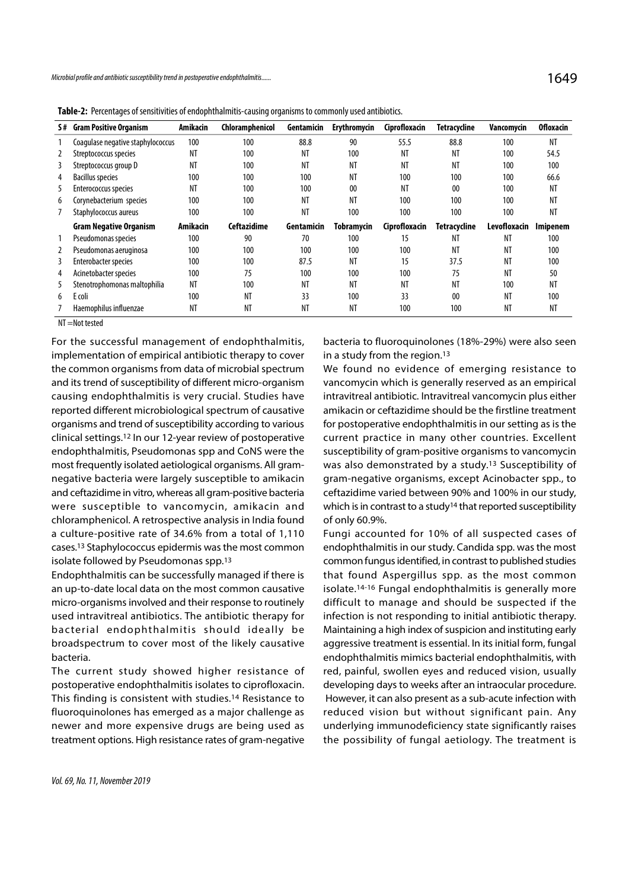|   | licrobial profile and antibiotic susceptibility trend in postoperative endophthalmitis                   |                 |                 |            |              |               |                     |                       | 1649             |
|---|----------------------------------------------------------------------------------------------------------|-----------------|-----------------|------------|--------------|---------------|---------------------|-----------------------|------------------|
|   |                                                                                                          |                 |                 |            |              |               |                     |                       |                  |
|   | Table-2: Percentages of sensitivities of endophthalmitis-causing organisms to commonly used antibiotics. |                 |                 |            |              |               |                     |                       |                  |
|   | S# Gram Positive Organism                                                                                | Amikacin        | Chloramphenicol | Gentamicin | Erythromycin | Ciprofloxacin | <b>Tetracycline</b> | Vancomycin            | <b>Ofloxacin</b> |
|   | Coagulase negative staphylococcus                                                                        | 100             | 100             | 88.8       | 90           | 55.5          | 88.8                | 100                   | ΝT               |
| 2 | Streptococcus species                                                                                    | <b>NT</b>       | 100             | NT         | 100          | <b>NT</b>     | <b>NT</b>           | 100                   | 54.5             |
| 3 | Streptococcus group D                                                                                    | NT              | 100             | <b>NT</b>  | NT           | NT            | NT                  | 100                   | 100              |
| 4 | <b>Bacillus species</b>                                                                                  | 100             | 100             | 100        | ΝT           | 100           | 100                 | 100                   | 66.6             |
| 5 | Enterococcus species                                                                                     | NT              | 100             | 100        | $00\,$       | ΝT            | 00                  | 100                   | ΝT               |
| 6 | Corynebacterium species                                                                                  | 100             | 100             | <b>NT</b>  | ΝT           | 100           | 100                 | 100                   | ΝT               |
|   | Staphylococcus aureus                                                                                    | 100             | 100             | <b>NT</b>  | 100          | 100           | 100                 | 100                   | NT               |
|   | <b>Gram Negative Organism</b>                                                                            | <b>Amikacin</b> | Ceftazidime     | Gentamicin | Tobramycin   | Ciprofloxacin | <b>Tetracycline</b> | Levofloxacin Imipenem |                  |
|   | Pseudomonas species                                                                                      | 100             | 90              | 70         | 100          | 15            | ΝT                  | ΝT                    | 100              |
| 2 | Pseudomonas aeruginosa                                                                                   | 100             | 100             | 100        | 100          | 100           | <b>NT</b>           | NT                    | 100              |
| 3 | Enterobacter species                                                                                     | 100             | 100             | 87.5       | <b>NT</b>    | 15            | 37.5                | <b>NT</b>             | 100              |
| 4 | Acinetobacter species                                                                                    | 100             | 75              | 100        | 100          | 100           | 75                  | NT                    | 50               |
| 5 | Stenotrophomonas maltophilia                                                                             | ΝT              | 100             | ΝT         | ΝT           | ΝT            | ΝT                  | 100                   | ΝT               |
| 6 | E coli                                                                                                   | 100             | NT              | 33         | 100          | 33            | 00                  | NT                    | 100              |
|   | Haemophilus influenzae                                                                                   | NT              | NT              | NT         | NT           | 100           | 100                 | NT                    | ΝT               |

Table-2: Percentages of sensitivities of endophthalmitis-causing organisms to commonly used antibiotics.

NT =Not tested

For the successful management of endophthalmitis, implementation of empirical antibiotic therapy to cover the common organisms from data of microbial spectrum and its trend of susceptibility of different micro-organism causing endophthalmitis is very crucial. Studies have reported different microbiological spectrum of causative organisms and trend of susceptibility according to various clinical settings.12 In our 12-year review of postoperative endophthalmitis, Pseudomonas spp and CoNS were the most frequently isolated aetiological organisms. All gramnegative bacteria were largely susceptible to amikacin and ceftazidime in vitro, whereas all gram-positive bacteria were susceptible to vancomycin, amikacin and chloramphenicol. A retrospective analysis in India found a culture-positive rate of 34.6% from a total of 1,110 cases.13 Staphylococcus epidermis was the most common isolate followed by Pseudomonas spp.13

Endophthalmitis can be successfully managed if there is an up-to-date local data on the most common causative micro-organisms involved and their response to routinely used intravitreal antibiotics. The antibiotic therapy for were susceptible to varicomycin, annuach and winch since<br>chloramphenicol. A retrospective analysis in India found of only 60.9%<br>a culture-positive rate of 34.6% from a total of 1,110 Fungi accou<br>cases.<sup>13</sup> Staphylococcus e broadspectrum to cover most of the likely causative bacteria.

The current study showed higher resistance of postoperative endophthalmitis isolates to ciprofloxacin. This finding is consistent with studies.14 Resistance to fluoroquinolones has emerged as a major challenge as newer and more expensive drugs are being used as treatment options. High resistance rates of gram-negative bacteria to fluoroquinolones (18%-29%) were also seen in a study from the region.<sup>13</sup>

We found no evidence of emerging resistance to vancomycin which is generally reserved as an empirical intravitreal antibiotic. Intravitreal vancomycin plus either amikacin or ceftazidime should be the firstline treatment for postoperative endophthalmitis in our setting as is the current practice in many other countries. Excellent susceptibility of gram-positive organisms to vancomycin was also demonstrated by a study.13 Susceptibility of gram-negative organisms, except Acinobacter spp., to ceftazidime varied between 90% and 100% in our study, which is in contrast to a study<sup>14</sup> that reported susceptibility of only 60.9%.

Fungi accounted for 10% of all suspected cases of endophthalmitis in our study. Candida spp. was the most common fungus identified, in contrast to published studies that found Aspergillus spp. as the most common isolate.14-16 Fungal endophthalmitis is generally more difficult to manage and should be suspected if the infection is not responding to initial antibiotic therapy. Maintaining a high index of suspicion and instituting early aggressive treatment is essential. In its initial form, fungal endophthalmitis mimics bacterial endophthalmitis, with red, painful, swollen eyes and reduced vision, usually developing days to weeks after an intraocular procedure. However, it can also present as a sub-acute infection with reduced vision but without significant pain. Any underlying immunodeficiency state significantly raises the possibility of fungal aetiology. The treatment is